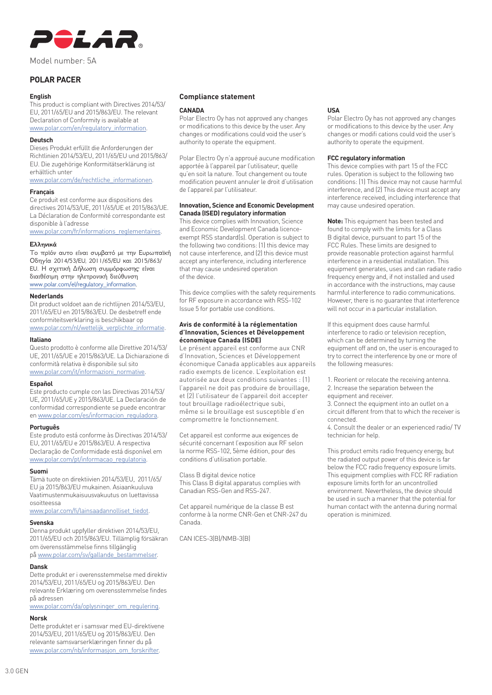

Model number: 5A

# **POLAR PACER**

#### **English**

This product is compliant with Directives 2014/53/ EU, 2011/65/EU and 2015/863/EU. The relevant Declaration of Conformity is available at www.polar.com/en/regulatory\_information.

# **Deutsch**

Dieses Produkt erfüllt die Anforderungen der Richtlinien 2014/53/EU, 2011/65/EU und 2015/863/ EU. Die zugehörige Konformitätserklärung ist erhältlich unter

www.polar.com/de/rechtliche\_informationen.

## **Français**

Ce produit est conforme aux dispositions des directives 2014/53/UE, 2011/65/UE et 2015/863/UE. La Déclaration de Conformité correspondante est disponible à l'adresse

www.polar.com/fr/informations\_reglementaires.

## **Ελληνικά**

Το πρϊόν αυτο είναι συμβατό με την Ευρωπαϊκή Οδηγία 2014/53/EU, 2011/65/EU και 2015/863/ EU. Η σχετική Δήλωση συμμόρφωσης είναι διαιθέσιμη στην ηλετρονική διεύθυνση www.polar.com/el/regulatory\_information.

## **Nederlands**

Dit product voldoet aan de richtlijnen 2014/53/EU, 2011/65/EU en 2015/863/EU. De desbetreff ende conformiteitsverklaring is beschikbaar op

www.polar.com/nl/wettelijk\_verplichte\_informatie.

# **Italiano**

Questo prodotto è conforme alle Direttive 2014/53/ UE, 2011/65/UE e 2015/863/UE. La Dichiarazione di conformità relativa è disponibile sul sito www.polar.com/it/informazioni\_normative.

## **Español**

Este producto cumple con las Directivas 2014/53/ UE, 2011/65/UE y 2015/863/UE. La Declaración de conformidad correspondiente se puede encontrar en www.polar.com/es/informacion\_reguladora.

#### **Português**

Este produto está conforme às Directivas 2014/53/ EU, 2011/65/EU e 2015/863/EU. A respectiva Declaração de Conformidade está disponível em www.polar.com/pt/informacao\_regulatoria.

#### **Suomi**

Tämä tuote on direktiivien 2014/53/EU, 2011/65/ EU ja 2015/863/EU mukainen. Asiaankuuluva Vaatimustenmukaisuusvakuutus on luettavissa osoitteessa

www.polar.com/fi/lainsaadannolliset\_tiedot.

#### **Svenska**

Denna produkt uppfyller direktiven 2014/53/EU, 2011/65/EU och 2015/863/EU. Tillämplig försäkran om överensstämmelse finns tillgänglig på www.polar.com/sv/gallande\_bestammelser.

# **Dansk**

Dette produkt er i overensstemmelse med direktiv 2014/53/EU, 2011/65/EU og 2015/863/EU. Den relevante Erklæring om overensstemmelse findes på adressen

www.polar.com/da/oplysninger\_om\_regulering.

# **Norsk**

Dette produktet er i samsvar med EU-direktivene 2014/53/EU, 2011/65/EU og 2015/863/EU. Den relevante samsvarserklæringen finner du på www.polar.com/nb/informasjon\_om\_forskrifter.

# **Compliance statement**

#### **CANADA**

Polar Electro Oy has not approved any changes or modifications to this device by the user. Any changes or modifications could void the user's authority to operate the equipment.

Polar Electro Oy n'a approué aucune modification apportée à l'appareil par l'utilisateur, quelle qu'en soit la nature. Tout changement ou toute modification peuvent annuler le droit d'utilisation de l'appareil par l'utilisateur.

## **Innovation, Science and Economic Development Canada (ISED) regulatory information**

This device complies with Innovation, Science and Economic Development Canada licenceexempt RSS standard(s). Operation is subject to the following two conditions: (1) this device may not cause interference, and (2) this device must accept any interference, including interference that may cause undesired operation of the device.

This device complies with the safety requirements for RF exposure in accordance with RSS-102 Issue 5 for portable use conditions.

#### **Avis de conformité à la réglementation d'Innovation, Sciences et Développement économique Canada (ISDE)**

Le présent appareil est conforme aux CNR d'Innovation, Sciences et Développement économique Canada applicables aux appareils radio exempts de licence. L'exploitation est autorisée aux deux conditions suivantes : (1) l'appareil ne doit pas produire de brouillage, et (2) l'utilisateur de l'appareil doit accepter tout brouillage radioélectrique subi, même si le brouillage est susceptible d'en compromettre le fonctionnement.

Cet appareil est conforme aux exigences de sécurité concernant l'exposition aux RF selon la norme RSS-102, 5ème édition, pour des conditions d'utilisation portable.

Class B digital device notice This Class B digital apparatus complies with Canadian RSS-Gen and RSS-247.

Cet appareil numérique de la classe B est conforme à la norme CNR-Gen et CNR-247 du Canada.

CAN ICES-3(B)/NMB-3(B)

# **USA**

Polar Electro Oy has not approved any changes or modifications to this device by the user. Any changes or modifi cations could void the user's authority to operate the equipment.

#### **FCC regulatory information**

This device complies with part 15 of the FCC rules. Operation is subject to the following two conditions: (1) This device may not cause harmful interference, and (2) This device must accept any interference received, including interference that may cause undesired operation.

**Note:** This equipment has been tested and found to comply with the limits for a Class B digital device, pursuant to part 15 of the FCC Rules. These limits are designed to provide reasonable protection against harmful interference in a residential installation. This equipment generates, uses and can radiate radio frequency energy and, if not installed and used in accordance with the instructions, may cause harmful interference to radio communications. However, there is no guarantee that interference will not occur in a particular installation.

If this equipment does cause harmful interference to radio or television reception, which can be determined by turning the equipment off and on, the user is encouraged to try to correct the interference by one or more of the following measures:

1. Reorient or relocate the receiving antenna. 2. Increase the separation between the equipment and receiver.

3. Connect the equipment into an outlet on a circuit different from that to which the receiver is connected.

4. Consult the dealer or an experienced radio/ TV technician for help.

This product emits radio frequency energy, but the radiated output power of this device is far below the FCC radio frequency exposure limits. This equipment complies with FCC RF radiation exposure limits forth for an uncontrolled environment. Nevertheless, the device should be used in such a manner that the potential for human contact with the antenna during normal operation is minimized.